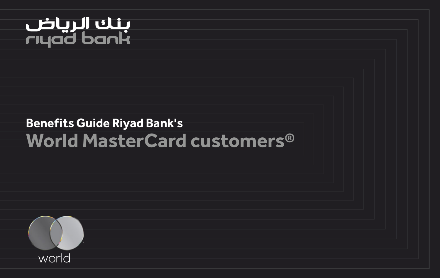

# **Benefits Guide Riyad Bank's World MasterCard customers®**

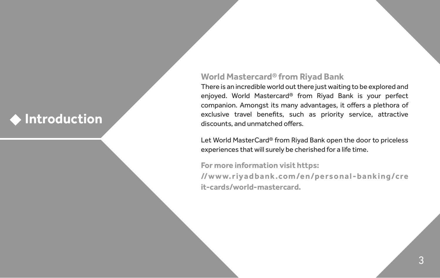## **◆ Introduction**

### **World Mastercard® from Riyad Bank**

There is an incredible world out there just waiting to be explored and enjoyed. World Mastercard® from Riyad Bank is your perfect companion. Amongst its many advantages, it offers a plethora of exclusive travel bene�ts, such as priority service, attractive discounts, and unmatched offers.

Let World MasterCard® from Riyad Bank open the door to priceless experiences that will surely be cherished for a life time.

**For more information visit https:**

**//w w w. r i ya d b a n k .co m /e n /p e rs o n a l - b a n k i n g /c re it-cards/world-mastercard.**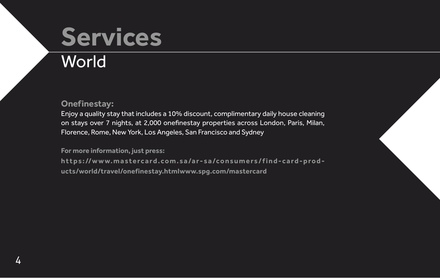# **Services**

# **World**

**Onefinestay:**

Enjoy a quality stay that includes a 10% discount, complimentary daily house cleaning on stays over 7 nights, at 2,000 onefinestay properties across London, Paris, Milan, Florence, Rome, New York, Los Angeles, San Francisco and Sydney

**For more information, just press: h t t p s : //w w w. m a s t e r c a r d . c o m . s a /a r - s a /c o n s u m e r s / f i n d - c a r d - p r o d ucts/world/travel/onefinestay.htmlwww.spg.com/mastercard**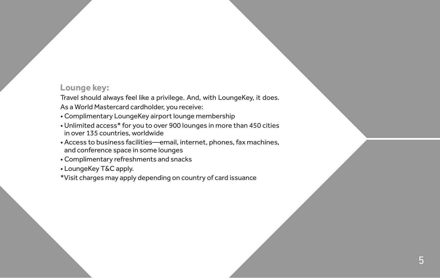### **Lounge key:**

Travel should always feel like a privilege. And, with LoungeKey, it does. As a World Mastercard cardholder, you receive:

- Complimentary LoungeKey airport lounge membership
- Unlimited access\* for you to over 900 lounges in more than 450 cities in over 135 countries, worldwide
- Access to business facilities—email, internet, phones, fax machines, and conference space in some lounges
- Complimentary refreshments and snacks
- LoungeKey T&C apply.

\*Visit charges may apply depending on country of card issuance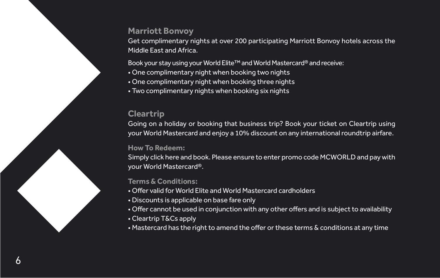### **Marriott Bonvoy**

Get complimentary nights at over 200 participating Marriott Bonvoy hotels across the Middle East and Africa.

Book your stay using your World Elite™ and World Mastercard® and receive:

- One complimentary night when booking two nights
- One complimentary night when booking three nights
- Two complimentary nights when booking six nights

### **Cleartrip**

Going on a holiday or booking that business trip? Book your ticket on Cleartrip using your World Mastercard and enjoy a 10% discount on any international roundtrip airfare.

### **How To Redeem:**

Simply click here and book. Please ensure to enter promo code MCWORLD and pay with your World Mastercard®.

- O�er valid for World Elite and World Mastercard cardholders
- Discounts is applicable on base fare only
- O�er cannot be used in conjunction with any other o�ers and is subject to availability
- Cleartrip T&Cs apply
- Mastercard has the right to amend the o�er or these terms & conditions at any time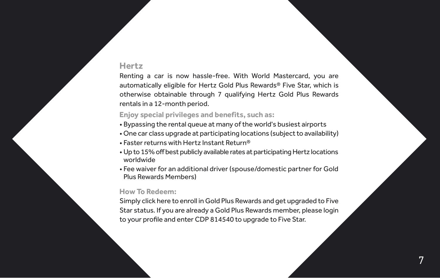### **Hertz**

Renting a car is now hassle-free. With World Mastercard, you are automatically eligible for Hertz Gold Plus Rewards® Five Star, which is otherwise obtainable through 7 qualifying Hertz Gold Plus Rewards rentals in a 12-month period.

### **Enjoy special privileges and benefits, such as:**

- Bypassing the rental queue at many of the world's busiest airports
- One car class upgrade at participating locations (subject to availability)
- Faster returns with Hertz Instant Return®
- Up to 15% o� best publicly available rates at participating Hertz locations worldwide
- Fee waiver for an additional driver (spouse/domestic partner for Gold Plus Rewards Members)

### **How To Redeem:**

Simply click here to enroll in Gold Plus Rewards and get upgraded to Five Star status. If you are already a Gold Plus Rewards member, please login to your profile and enter CDP 814540 to upgrade to Five Star.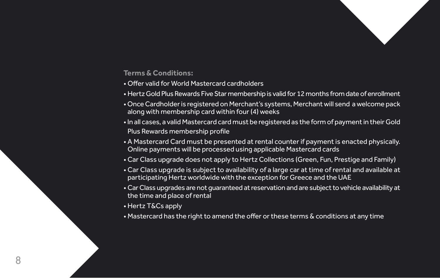- O�er valid for World Mastercard cardholders
- Hertz Gold Plus Rewards Five Star membership is valid for 12 months from date of enrollment
- Once Cardholder is registered on Merchant's systems, Merchant will send a welcome pack along with membership card within four (4) weeks
- In all cases, a valid Mastercard card must be registered as the form of payment in their Gold Plus Rewards membership pro�le
- A Mastercard Card must be presented at rental counter if payment is enacted physically. Online payments will be processed using applicable Mastercard cards
- Car Class upgrade does not apply to Hertz Collections (Green, Fun, Prestige and Family)
- Car Class upgrade is subject to availability of a large car at time of rental and available at participating Hertz worldwide with the exception for Greece and the UAE
- Car Class upgrades are not guaranteed at reservation and are subject to vehicle availability at the time and place of rental
- Hertz T&Cs apply
- Mastercard has the right to amend the o�er or these terms & conditions at any time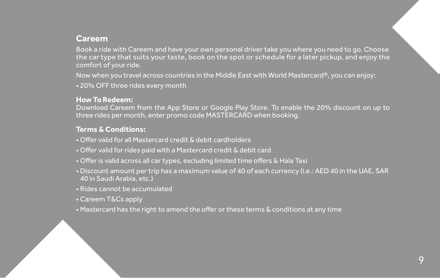**Careem**<br>Book a ride with Careem and have your own personal driver take you where you need to go. Choose Book a ride with Careem and have your own personal driver take you where you need to go. Choose the car type that suits your taste, book on the spot or schedule for a later pickup, and enjoy the comfort of your ride.

Now when you travel across countries in the Middle East with World Mastercard®, you can enjoy:

• 20% OFF three rides every month

**How To Redeem:** Download Careem from the App Store or Google Play Store. To enable the 20% discount on up to three rides per month, enter promo code MASTERCARD when booking.

- O�er valid for all Mastercard credit & debit cardholders
- O�er valid for rides paid with a Mastercard credit & debit card
- O�er is valid across all car types, excluding limited time o�ers & Hala Taxi
- Discount amount per trip has a maximum value of 40 of each currency (i.e.: AED 40 in the UAE, SAR 40 in Saudi Arabia, etc.)
- Rides cannot be accumulated
- Careem T&Cs apply
- Mastercard has the right to amend the o�er or these terms & conditions at any time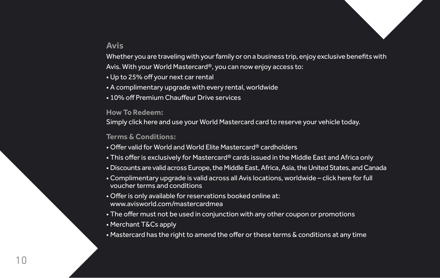

### **Avis**

Whether you are traveling with your family or on a business trip, enjoy exclusive benefits with

Avis. With your World Mastercard®, you can now enjoy access to:

• Up to 25% off your next car rental

• A complimentary upgrade with every rental, worldwide

• 10% o� Premium Chau�eur Drive services

### **How To Redeem:**

Simply click here and use your World Mastercard card to reserve your vehicle today.

- O�er valid for World and World Elite Mastercard® cardholders
- This o�er is exclusively for Mastercard® cards issued in the Middle East and Africa only
- Discounts are valid across Europe, the Middle East, Africa, Asia, the United States, and Canada
- Complimentary upgrade is valid across all Avis locations, worldwide click here for full voucher terms and conditions
- O�er is only available for reservations booked online at: www.avisworld.com/mastercardmea
- The offer must not be used in conjunction with any other coupon or promotions
- Merchant T&Cs apply
- Mastercard has the right to amend the o�er or these terms & conditions at any time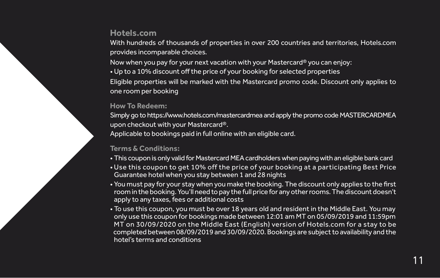**Hotels.com** With hundreds of thousands of properties in over 200 countries and territories, Hotels.com provides incomparable choices.

Now when you pay for your next vacation with your Mastercard® you can enjoy: • Up to a 10% discount off the price of your booking for selected properties Eligible properties will be marked with the Mastercard promo code. Discount only applies to one room per booking

### **How To Redeem:**

Simply go to https://www.hotels.com/mastercardmea and apply the promo code MASTERCARDMEA upon checkout with your Mastercard®. Applicable to bookings paid in full online with an eligible card.

- This coupon is only valid for Mastercard MEA cardholders when paying with an eligible bank card
- Use this coupon to get 10% off the price of your booking at a participating Best Price Guarantee hotel when you stay between 1 and 28 nights
- You must pay for your stay when you make the booking. The discount only applies to the first room in the booking. You'll need to pay the full price for any other rooms. The discount doesn't apply to any taxes, fees or additional costs
- To use this coupon, you must be over 18 years old and resident in the Middle East. You may only use this coupon for bookings made between 12:01 am MT on 05/09/2019 and 11:59pm MT on 30/09/2020 on the Middle East (English) version of Hotels.com for a stay to be completed between 08/09/2019 and 30/09/2020. Bookings are subject to availability and the hotel's terms and conditions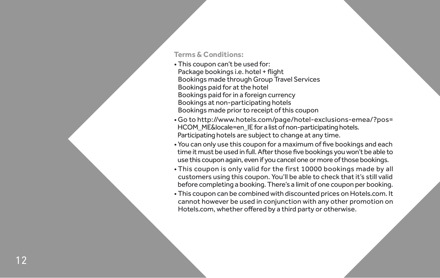- This coupon can't be used for: Package bookings i.e. hotel + �ight Bookings made through Group Travel Services Bookings paid for at the hotel Bookings paid for in a foreign currency Bookings at non-participating hotels Bookings made prior to receipt of this coupon
- Go to http://www.hotels.com/page/hotel-exclusions-emea/?pos= HCOM\_ME&locale=en\_IE for a list of non-participating hotels. Participating hotels are subject to change at any time.
- You can only use this coupon for a maximum of �ve bookings and each time it must be used in full. After those �ve bookings you won't be able to use this coupon again, even if you cancel one or more of those bookings.<br>This coupon is only valid for the first 10000 bookings made by all
- This coupon is only valid for the first 10000 bookings made by all customers using this coupon. You'll be able to check that it's still valid before completing a booking. There's a limit of one coupon per booking.
- This coupon can be combined with discounted prices on Hotels.com. It cannot however be used in conjunction with any other promotion on Hotels.com, whether o�ered by a third party or otherwise.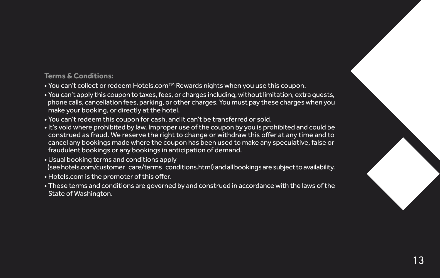- **Terms & Conditions:** You can't collect or redeem Hotels.com™ Rewards nights when you use this coupon.
- You can't apply this coupon to taxes, fees, or charges including, without limitation, extra guests, phone calls, cancellation fees, parking, or other charges. You must pay these charges when you make your booking, or directly at the hotel.
- You can't redeem this coupon for cash, and it can't be transferred or sold.
- It's void where prohibited by law. Improper use of the coupon by you is prohibited and could be construed as fraud. We reserve the right to change or withdraw this o�er at any time and to cancel any bookings made where the coupon has been used to make any speculative, false or fraudulent bookings or any bookings in anticipation of demand.<br>• I kual booking terms and conditions anoly
- Usual booking terms and conditions apply (see hotels.com/customer\_care/terms\_conditions.html) and all bookings are subject to availability.
- Hotels.com is the promoter of this o�er.
- These terms and conditions are governed by and construed in accordance with the laws of the State of Washington.

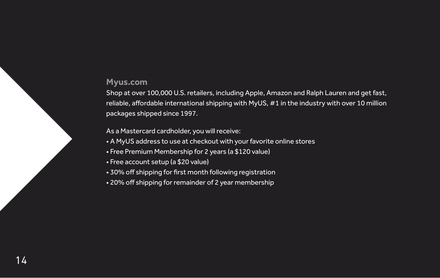### **Myus.com**

Shop at over 100,000 U.S. retailers, including Apple, Amazon and Ralph Lauren and get fast, reliable, affordable international shipping with MyUS, #1 in the industry with over 10 million packages shipped since 1997.

As a Mastercard cardholder, you will receive:

- A MyUS address to use at checkout with your favorite online stores
- Free Premium Membership for 2 years (a \$120 value)
- Free account setup (a \$20 value)
- 30% off shipping for first month following registration
- 20% o� shipping for remainder of 2 year membership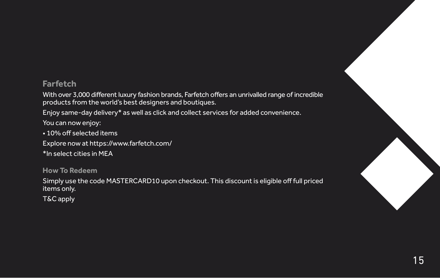### **Farfetch**

With over 3,000 different luxury fashion brands, Farfetch offers an unrivalled range of incredible products from the world's best designers and boutiques.

Enjoy same-day delivery\* as well as click and collect services for added convenience. You can now enjoy:

• 10% o� selected items

Explore now at https://www.farfetch.com/ \*In select cities in MEA

**How To Redeem** Simply use the code MASTERCARD10 upon checkout. This discount is eligible o� full priced items only. T&C apply

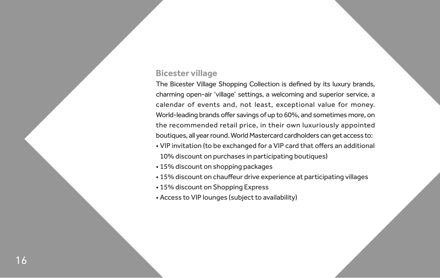### **Bicester village**

The Bicester Village Shopping Collection is defined by its luxury brands, charming open-air 'village' settings, a welcoming and superior service, a calendar of events and, not least, exceptional value for money. World-leading brands offer savings of up to 60%, and sometimes more, on the recommended retail price, in their own luxuriously appointed boutiques, all year round. World Mastercard cardholders can get access to: • VIP invitation (to be exchanged for a VIP card that offers an additional 10% discount on purchases in participating boutiques)

- 15% discount on shopping packages
- 15% discount on chau�eur drive experience at participating villages
- 15% discount on Shopping Express
- Access to VIP lounges (subject to availability)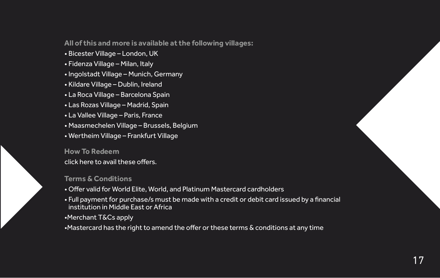### **All of this and more is available at the following villages:**

- Bicester Village London, UK
- Fidenza Village Milan, Italy
- Ingolstadt Village Munich, Germany
- Kildare Village Dublin, Ireland
- La Roca Village Barcelona Spain
- Las Rozas Village Madrid, Spain
- La Vallee Village Paris, France
- Maasmechelen Village Brussels, Belgium
- Wertheim Village Frankfurt Village

### **How To Redeem** click here to avail these o�ers.

- O�er valid for World Elite, World, and Platinum Mastercard cardholders
- Full payment for purchase/s must be made with a credit or debit card issued by a �nancial institution in Middle East or Africa •Merchant T&Cs apply
- •Mastercard has the right to amend the o�er or these terms & conditions at any time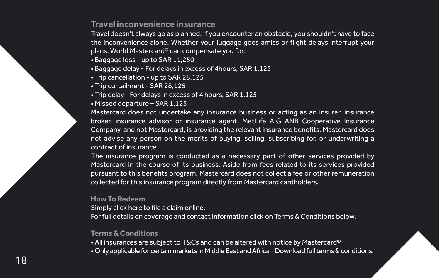**Travel inconvenience insurance** Iravel doesn't always go as planned. If you encounter an obstacle, you shouldn't have to face<br>the inconvenience alone. Whether your luggage goes amiss or flight delays interrupt your plans, World Mastercard® can compensate you for:

- Baggage loss up to SAR 11,250
- Baggage delay For delays in excess of 4hours, SAR 1,125
- Trip cancellation up to SAR 28,125
- Trip curtailment SAR 28,125
- Trip delay For delays in excess of 4 hours, SAR 1,125
- Missed departure SAR 1,125

Mastercard does not undertake any insurance business or acting as an insurer, insurance broker, insurance advisor or insurance agent. MetLife AIG ANB Cooperative Insurance Company, and not Mastercard, is providing the relevant insurance bene�ts. Mastercard does not advise any person on the merits of buying, selling, subscribing for, or underwriting a contract of insurance.

The insurance program is conducted as a necessary part of other services provided by Mastercard in the course of its business. Aside from fees related to its services provided pursuant to this bene�ts program, Mastercard does not collect a fee or other remuneration collected for this insurance program directly from Mastercard cardholders.

### **How To Redeem**

Simply click here to file a claim online.

For full details on coverage and contact information click on Terms & Conditions below.

- All insurances are subject to T&Cs and can be altered with notice by Mastercard®
- Only applicable for certain markets in Middle East and Africa Download full terms & conditions.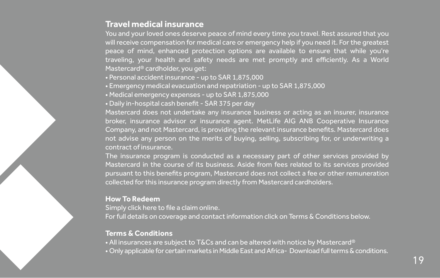**Travel medical insurance**<br>You and your loved ones deserve neace of mind every time you travel. Rest assured that you will receive compensation for medical care or emergency help if you need it. For the greatest will receive compensation for medical care or emergency map if you need it. For the greatest peace of mind, enhanced protection options are available to ensure that while you're traveling, your health and safety needs are met promptly and e�ciently. As a World Mastercard® cardholder, you get:<br>• Personal accident insurance - up to SAR 1.875.000

- 
- Personal accident insurance up to SAR 1,875,000 Emergency medical evacuation and repatriation up to SAR 1,875,000
- Medical emergency expenses up to SAR 1,875,000
- Daily in-hospital cash bene�t SAR 375 per day

Mastercard does not undertake any insurance business or acting as an insurer, insurance broker, insurance advisor or insurance agent. MetLife AIG ANB Cooperative Insurance not advise any person on the merits of buying, selling, subscribing for, or underwriting a contract of insurance.

The insurance program is conducted as a necessary part of other services provided by Mastercard in the course of its business. Aside from fees related to its services provided collected for this insurance program directly from Mastercard cardholders.

### **How To Redeem**

Simply click here to file a claim online. For full details on coverage and contact information click on Terms & Conditions below.

- All insurances are subject to T&Cs and can be altered with notice by Mastercard®
- Only applicable for certain markets in Middle East and Africa- Download full terms & conditions.